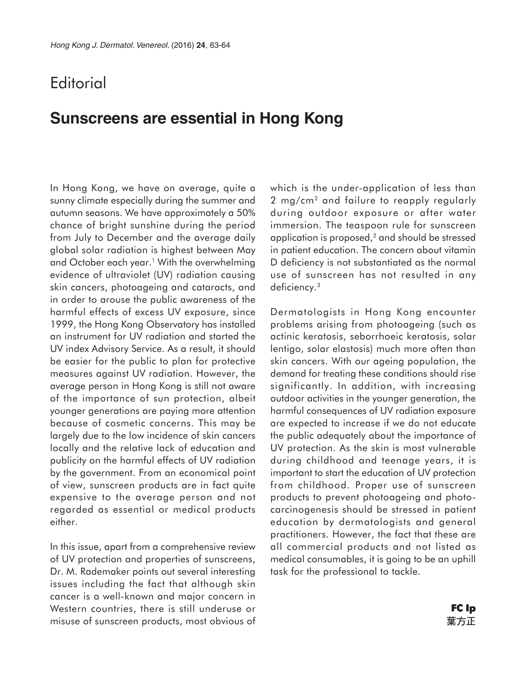## **Editorial**

## **Sunscreens are essential in Hong Kong**

In Hong Kong, we have on average, quite a sunny climate especially during the summer and autumn seasons. We have approximately a 50% chance of bright sunshine during the period from July to December and the average daily global solar radiation is highest between May and October each year.<sup>1</sup> With the overwhelming evidence of ultraviolet (UV) radiation causing skin cancers, photoageing and cataracts, and in order to arouse the public awareness of the harmful effects of excess UV exposure, since 1999, the Hong Kong Observatory has installed an instrument for UV radiation and started the UV index Advisory Service. As a result, it should be easier for the public to plan for protective measures against UV radiation. However, the average person in Hong Kong is still not aware of the importance of sun protection, albeit younger generations are paying more attention because of cosmetic concerns. This may be largely due to the low incidence of skin cancers locally and the relative lack of education and publicity on the harmful effects of UV radiation by the government. From an economical point of view, sunscreen products are in fact quite expensive to the average person and not regarded as essential or medical products either.

In this issue, apart from a comprehensive review of UV protection and properties of sunscreens, Dr. M. Rademaker points out several interesting issues including the fact that although skin cancer is a well-known and major concern in Western countries, there is still underuse or misuse of sunscreen products, most obvious of which is the under-application of less than 2 mg/cm2 and failure to reapply regularly during outdoor exposure or after water immersion. The teaspoon rule for sunscreen application is proposed,<sup>2</sup> and should be stressed in patient education. The concern about vitamin D deficiency is not substantiated as the normal use of sunscreen has not resulted in any deficiency.3

Dermatologists in Hong Kong encounter problems arising from photoageing (such as actinic keratosis, seborrhoeic keratosis, solar lentigo, solar elastosis) much more often than skin cancers. With our ageing population, the demand for treating these conditions should rise significantly. In addition, with increasing outdoor activities in the younger generation, the harmful consequences of UV radiation exposure are expected to increase if we do not educate the public adequately about the importance of UV protection. As the skin is most vulnerable during childhood and teenage years, it is important to start the education of UV protection from childhood. Proper use of sunscreen products to prevent photoageing and photocarcinogenesis should be stressed in patient education by dermatologists and general practitioners. However, the fact that these are all commercial products and not listed as medical consumables, it is going to be an uphill task for the professional to tackle.

> **FC Ip**葉方正